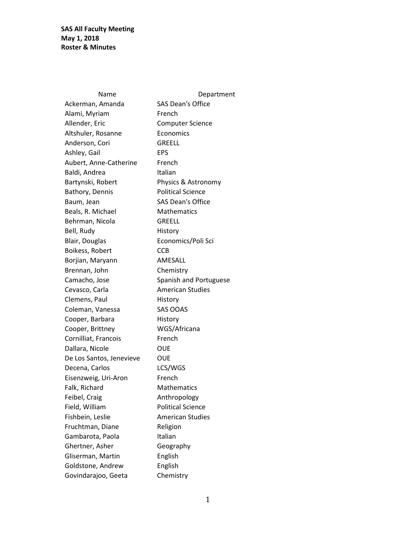Name Department Ackerman, Amanda SAS Dean's Office Alami, Myriam French Allender, Eric Computer Science Altshuler, Rosanne **Economics** Anderson, Cori GREELL Ashley, Gail **EPS** Aubert, Anne-Catherine French Baldi, Andrea **Italian** Bartynski, Robert Physics & Astronomy Bathory, Dennis Political Science Baum, Jean SAS Dean's Office Beals, R. Michael Mathematics Behrman, Nicola GREELL Bell, Rudy **History** Blair, Douglas Economics/Poli Sci Boikess, Robert CCB Borjian, Maryann AMESALL Brennan, John Chemistry Camacho, Jose Spanish and Portuguese Cevasco, Carla **American Studies** Clemens, Paul History Coleman, Vanessa SAS OOAS Cooper, Barbara History Cooper, Brittney WGS/Africana Cornilliat, Francois French Dallara, Nicole **OUE** De Los Santos, Jenevieve OUE Decena, Carlos LCS/WGS Eisenzweig, Uri-Aron French Falk, Richard Mathematics Feibel, Craig **Anthropology** Field, William Political Science Fishbein, Leslie **American Studies** Fruchtman, Diane Religion Gambarota, Paola **Italian** Ghertner, Asher Geography Gliserman, Martin English Goldstone, Andrew English Govindarajoo, Geeta Chemistry

1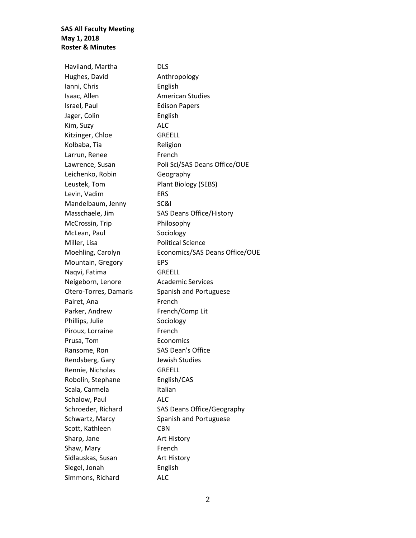Haviland, Martha DLS Hughes, David Anthropology Ianni, Chris **English** Isaac, Allen American Studies Israel, Paul **Edison Papers** Jager, Colin **English** Kim, Suzy ALC Kitzinger, Chloe GREELL Kolbaba, Tia **Religion** Larrun, Renee French Lawrence, Susan Poli Sci/SAS Deans Office/OUE Leichenko, Robin Geography Leustek, Tom Plant Biology (SEBS) Levin, Vadim ERS Mandelbaum, Jenny SC&I Masschaele, Jim SAS Deans Office/History McCrossin, Trip Philosophy McLean, Paul Sociology Miller, Lisa Political Science Moehling, Carolyn Economics/SAS Deans Office/OUE Mountain, Gregory EPS Naqvi, Fatima GREELL Neigeborn, Lenore **Academic Services** Otero-Torres, Damaris Spanish and Portuguese Pairet, Ana French Parker, Andrew French/Comp Lit Phillips, Julie Sociology Piroux, Lorraine French Prusa, Tom Economics Ransome, Ron SAS Dean's Office Rendsberg, Gary Jewish Studies Rennie, Nicholas GREELL Robolin, Stephane English/CAS Scala, Carmela Italian Schalow, Paul **ALC** Schroeder, Richard SAS Deans Office/Geography Schwartz, Marcy Spanish and Portuguese Scott, Kathleen CBN Sharp, Jane **Art History** Shaw, Mary **French** Sidlauskas, Susan **Art History** Siegel, Jonah English Simmons, Richard ALC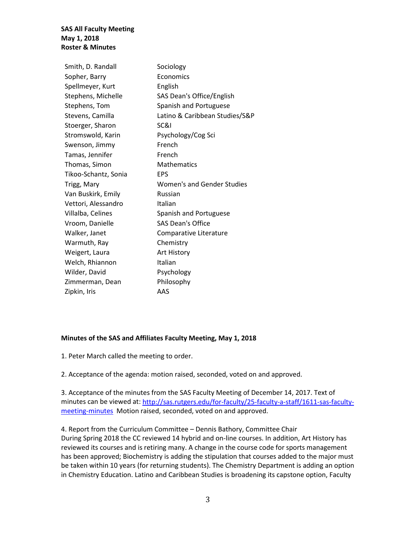| Smith, D. Randall    | Sociology                      |
|----------------------|--------------------------------|
| Sopher, Barry        | Economics                      |
| Spellmeyer, Kurt     | English                        |
| Stephens, Michelle   | SAS Dean's Office/English      |
| Stephens, Tom        | Spanish and Portuguese         |
| Stevens, Camilla     | Latino & Caribbean Studies/S&P |
| Stoerger, Sharon     | SC&I                           |
| Stromswold, Karin    | Psychology/Cog Sci             |
| Swenson, Jimmy       | French                         |
| Tamas, Jennifer      | French                         |
| Thomas, Simon        | <b>Mathematics</b>             |
| Tikoo-Schantz, Sonia | <b>EPS</b>                     |
| Trigg, Mary          | Women's and Gender Studies     |
| Van Buskirk, Emily   | Russian                        |
| Vettori, Alessandro  | Italian                        |
| Villalba, Celines    | Spanish and Portuguese         |
| Vroom, Danielle      | <b>SAS Dean's Office</b>       |
| Walker, Janet        | Comparative Literature         |
| Warmuth, Ray         | Chemistry                      |
| Weigert, Laura       | Art History                    |
| Welch, Rhiannon      | Italian                        |
| Wilder, David        | Psychology                     |
| Zimmerman, Dean      | Philosophy                     |
| Zipkin, Iris         | AAS                            |
|                      |                                |

#### **Minutes of the SAS and Affiliates Faculty Meeting, May 1, 2018**

1. Peter March called the meeting to order.

2. Acceptance of the agenda: motion raised, seconded, voted on and approved.

3. Acceptance of the minutes from the SAS Faculty Meeting of December 14, 2017. Text of minutes can be viewed at[: http://sas.rutgers.edu/for-faculty/25-faculty-a-staff/1611-sas-faculty](http://sas.rutgers.edu/for-faculty/25-faculty-a-staff/1611-sas-faculty-meeting-minutes)[meeting-minutes](http://sas.rutgers.edu/for-faculty/25-faculty-a-staff/1611-sas-faculty-meeting-minutes) Motion raised, seconded, voted on and approved.

4. Report from the Curriculum Committee – Dennis Bathory, Committee Chair During Spring 2018 the CC reviewed 14 hybrid and on-line courses. In addition, Art History has reviewed its courses and is retiring many. A change in the course code for sports management has been approved; Biochemistry is adding the stipulation that courses added to the major must be taken within 10 years (for returning students). The Chemistry Department is adding an option in Chemistry Education. Latino and Caribbean Studies is broadening its capstone option, Faculty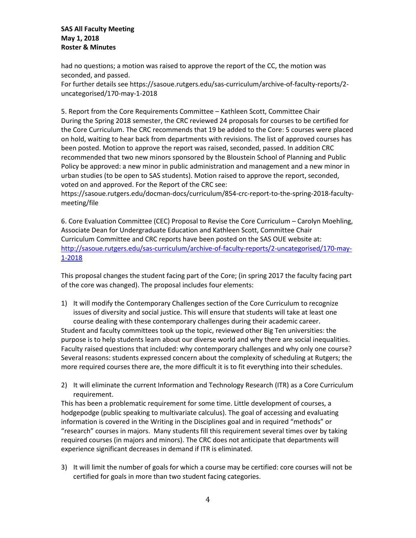had no questions; a motion was raised to approve the report of the CC, the motion was seconded, and passed. For further details see https://sasoue.rutgers.edu/sas-curriculum/archive-of-faculty-reports/2 uncategorised/170-may-1-2018

5. Report from the Core Requirements Committee – Kathleen Scott, Committee Chair During the Spring 2018 semester, the CRC reviewed 24 proposals for courses to be certified for the Core Curriculum. The CRC recommends that 19 be added to the Core: 5 courses were placed on hold, waiting to hear back from departments with revisions. The list of approved courses has been posted. Motion to approve the report was raised, seconded, passed. In addition CRC recommended that two new minors sponsored by the Bloustein School of Planning and Public Policy be approved: a new minor in public administration and management and a new minor in urban studies (to be open to SAS students). Motion raised to approve the report, seconded, voted on and approved. For the Report of the CRC see:

https://sasoue.rutgers.edu/docman-docs/curriculum/854-crc-report-to-the-spring-2018-facultymeeting/file

6. Core Evaluation Committee (CEC) Proposal to Revise the Core Curriculum – Carolyn Moehling, Associate Dean for Undergraduate Education and Kathleen Scott, Committee Chair Curriculum Committee and CRC reports have been posted on the SAS OUE website at: [http://sasoue.rutgers.edu/sas-curriculum/archive-of-faculty-reports/2-uncategorised/170-may-](http://sasoue.rutgers.edu/sas-curriculum/archive-of-faculty-reports/2-uncategorised/170-may-1-2018)[1-2018](http://sasoue.rutgers.edu/sas-curriculum/archive-of-faculty-reports/2-uncategorised/170-may-1-2018)

This proposal changes the student facing part of the Core; (in spring 2017 the faculty facing part of the core was changed). The proposal includes four elements:

- 1) It will modify the Contemporary Challenges section of the Core Curriculum to recognize issues of diversity and social justice. This will ensure that students will take at least one course dealing with these contemporary challenges during their academic career. Student and faculty committees took up the topic, reviewed other Big Ten universities: the purpose is to help students learn about our diverse world and why there are social inequalities. Faculty raised questions that included: why contemporary challenges and why only one course? Several reasons: students expressed concern about the complexity of scheduling at Rutgers; the more required courses there are, the more difficult it is to fit everything into their schedules.
- 2) It will eliminate the current Information and Technology Research (ITR) as a Core Curriculum requirement.

This has been a problematic requirement for some time. Little development of courses, a hodgepodge (public speaking to multivariate calculus). The goal of accessing and evaluating information is covered in the Writing in the Disciplines goal and in required "methods" or "research" courses in majors. Many students fill this requirement several times over by taking required courses (in majors and minors). The CRC does not anticipate that departments will experience significant decreases in demand if ITR is eliminated.

3) It will limit the number of goals for which a course may be certified: core courses will not be certified for goals in more than two student facing categories.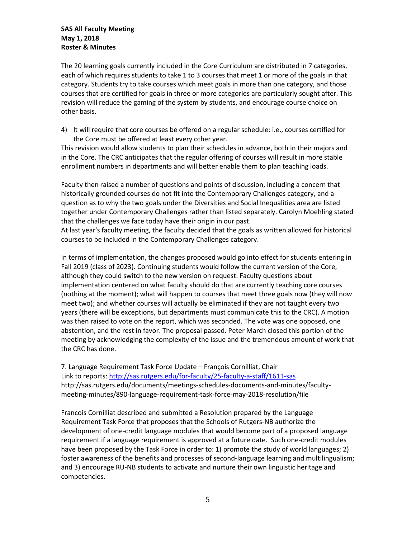The 20 learning goals currently included in the Core Curriculum are distributed in 7 categories, each of which requires students to take 1 to 3 courses that meet 1 or more of the goals in that category. Students try to take courses which meet goals in more than one category, and those courses that are certified for goals in three or more categories are particularly sought after. This revision will reduce the gaming of the system by students, and encourage course choice on other basis.

4) It will require that core courses be offered on a regular schedule: i.e., courses certified for the Core must be offered at least every other year.

This revision would allow students to plan their schedules in advance, both in their majors and in the Core. The CRC anticipates that the regular offering of courses will result in more stable enrollment numbers in departments and will better enable them to plan teaching loads.

Faculty then raised a number of questions and points of discussion, including a concern that historically grounded courses do not fit into the Contemporary Challenges category, and a question as to why the two goals under the Diversities and Social Inequalities area are listed together under Contemporary Challenges rather than listed separately. Carolyn Moehling stated that the challenges we face today have their origin in our past.

At last year's faculty meeting, the faculty decided that the goals as written allowed for historical courses to be included in the Contemporary Challenges category.

In terms of implementation, the changes proposed would go into effect for students entering in Fall 2019 (class of 2023). Continuing students would follow the current version of the Core, although they could switch to the new version on request. Faculty questions about implementation centered on what faculty should do that are currently teaching core courses (nothing at the moment); what will happen to courses that meet three goals now (they will now meet two); and whether courses will actually be eliminated if they are not taught every two years (there will be exceptions, but departments must communicate this to the CRC). A motion was then raised to vote on the report, which was seconded. The vote was one opposed, one abstention, and the rest in favor. The proposal passed. Peter March closed this portion of the meeting by acknowledging the complexity of the issue and the tremendous amount of work that the CRC has done.

7. Language Requirement Task Force Update – François Cornilliat, Chair Link to reports[: http://sas.rutgers.edu/for-faculty/25-faculty-a-staff/1611-sas](http://sas.rutgers.edu/for-faculty/25-faculty-a-staff/1611-sas) http://sas.rutgers.edu/documents/meetings-schedules-documents-and-minutes/facultymeeting-minutes/890-language-requirement-task-force-may-2018-resolution/file

Francois Cornilliat described and submitted a Resolution prepared by the Language Requirement Task Force that proposes that the Schools of Rutgers-NB authorize the development of one-credit language modules that would become part of a proposed language requirement if a language requirement is approved at a future date. Such one-credit modules have been proposed by the Task Force in order to: 1) promote the study of world languages; 2) foster awareness of the benefits and processes of second-language learning and multilingualism; and 3) encourage RU-NB students to activate and nurture their own linguistic heritage and competencies.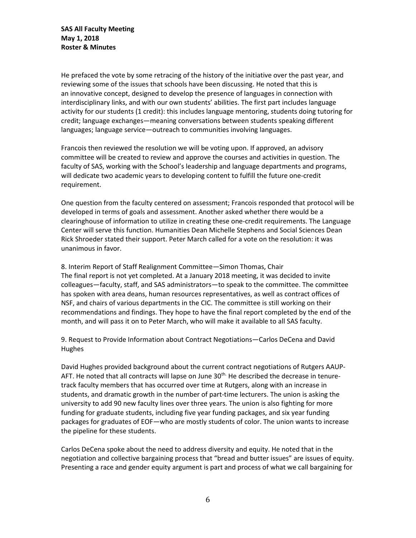He prefaced the vote by some retracing of the history of the initiative over the past year, and reviewing some of the issues that schools have been discussing. He noted that this is an innovative concept, designed to develop the presence of languages in connection with interdisciplinary links, and with our own students' abilities. The first part includes language activity for our students (1 credit): this includes language mentoring, students doing tutoring for credit; language exchanges—meaning conversations between students speaking different languages; language service—outreach to communities involving languages.

Francois then reviewed the resolution we will be voting upon. If approved, an advisory committee will be created to review and approve the courses and activities in question. The faculty of SAS, working with the School's leadership and language departments and programs, will dedicate two academic years to developing content to fulfill the future one-credit requirement.

One question from the faculty centered on assessment; Francois responded that protocol will be developed in terms of goals and assessment. Another asked whether there would be a clearinghouse of information to utilize in creating these one-credit requirements. The Language Center will serve this function. Humanities Dean Michelle Stephens and Social Sciences Dean Rick Shroeder stated their support. Peter March called for a vote on the resolution: it was unanimous in favor.

8. Interim Report of Staff Realignment Committee—Simon Thomas, Chair The final report is not yet completed. At a January 2018 meeting, it was decided to invite colleagues—faculty, staff, and SAS administrators—to speak to the committee. The committee has spoken with area deans, human resources representatives, as well as contract offices of NSF, and chairs of various departments in the CIC. The committee is still working on their recommendations and findings. They hope to have the final report completed by the end of the month, and will pass it on to Peter March, who will make it available to all SAS faculty.

9. Request to Provide Information about Contract Negotiations—Carlos DeCena and David Hughes

David Hughes provided background about the current contract negotiations of Rutgers AAUP-AFT. He noted that all contracts will lapse on June  $30<sup>th</sup>$ . He described the decrease in tenuretrack faculty members that has occurred over time at Rutgers, along with an increase in students, and dramatic growth in the number of part-time lecturers. The union is asking the university to add 90 new faculty lines over three years. The union is also fighting for more funding for graduate students, including five year funding packages, and six year funding packages for graduates of EOF—who are mostly students of color. The union wants to increase the pipeline for these students.

Carlos DeCena spoke about the need to address diversity and equity. He noted that in the negotiation and collective bargaining process that "bread and butter issues" are issues of equity. Presenting a race and gender equity argument is part and process of what we call bargaining for